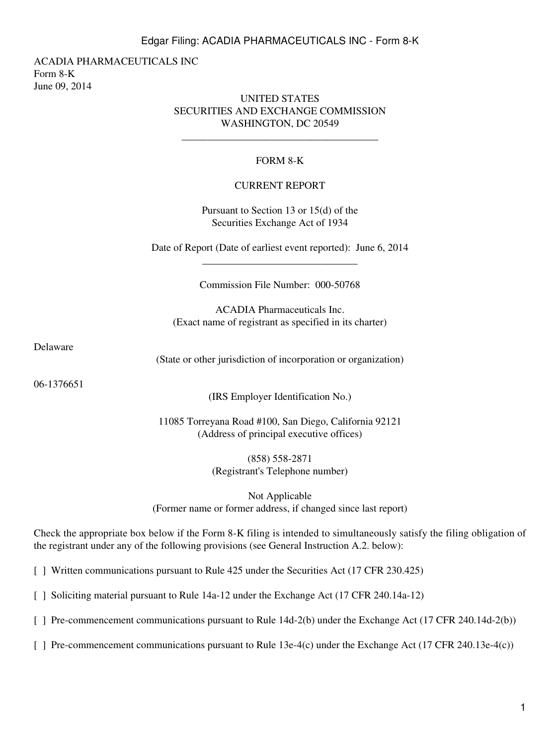### Edgar Filing: ACADIA PHARMACEUTICALS INC - Form 8-K

ACADIA PHARMACEUTICALS INC Form 8-K June 09, 2014

#### UNITED STATES SECURITIES AND EXCHANGE COMMISSION WASHINGTON, DC 20549

\_\_\_\_\_\_\_\_\_\_\_\_\_\_\_\_\_\_\_\_\_\_\_\_\_\_\_\_\_\_\_\_\_\_\_\_\_\_

## FORM 8-K

#### CURRENT REPORT

Pursuant to Section 13 or 15(d) of the Securities Exchange Act of 1934

Date of Report (Date of earliest event reported): June 6, 2014 \_\_\_\_\_\_\_\_\_\_\_\_\_\_\_\_\_\_\_\_\_\_\_\_\_\_\_\_\_\_

Commission File Number: 000-50768

ACADIA Pharmaceuticals Inc. (Exact name of registrant as specified in its charter)

Delaware

(State or other jurisdiction of incorporation or organization)

06-1376651

(IRS Employer Identification No.)

11085 Torreyana Road #100, San Diego, California 92121 (Address of principal executive offices)

> (858) 558-2871 (Registrant's Telephone number)

Not Applicable (Former name or former address, if changed since last report)

Check the appropriate box below if the Form 8-K filing is intended to simultaneously satisfy the filing obligation of the registrant under any of the following provisions (see General Instruction A.2. below):

[ ] Written communications pursuant to Rule 425 under the Securities Act (17 CFR 230.425)

[ ] Soliciting material pursuant to Rule 14a-12 under the Exchange Act (17 CFR 240.14a-12)

[ ] Pre-commencement communications pursuant to Rule 14d-2(b) under the Exchange Act (17 CFR 240.14d-2(b))

[ ] Pre-commencement communications pursuant to Rule 13e-4(c) under the Exchange Act (17 CFR 240.13e-4(c))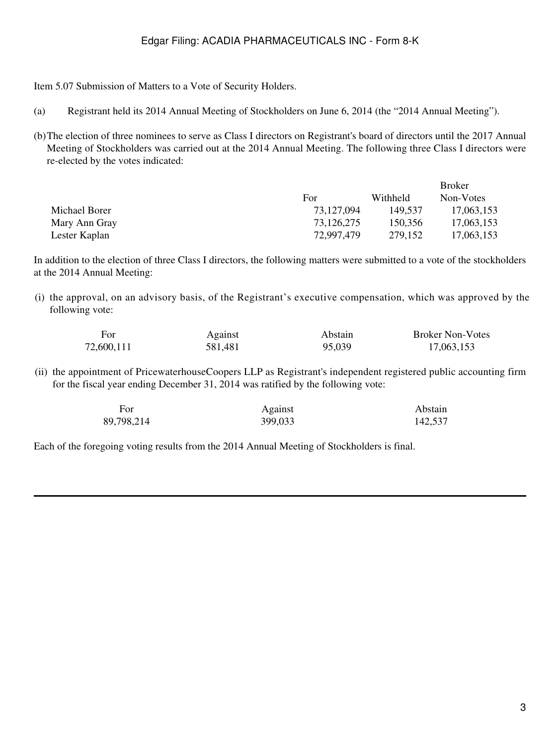# Edgar Filing: ACADIA PHARMACEUTICALS INC - Form 8-K

Item 5.07 Submission of Matters to a Vote of Security Holders.

- (a) Registrant held its 2014 Annual Meeting of Stockholders on June 6, 2014 (the "2014 Annual Meeting").
- (b)The election of three nominees to serve as Class I directors on Registrant's board of directors until the 2017 Annual Meeting of Stockholders was carried out at the 2014 Annual Meeting. The following three Class I directors were re-elected by the votes indicated:

|               |            |          | DIOKEI     |
|---------------|------------|----------|------------|
|               | For        | Withheld | Non-Votes  |
| Michael Borer | 73,127,094 | 149.537  | 17,063,153 |
| Mary Ann Gray | 73.126.275 | 150.356  | 17,063,153 |
| Lester Kaplan | 72.997.479 | 279.152  | 17,063,153 |

In addition to the election of three Class I directors, the following matters were submitted to a vote of the stockholders at the 2014 Annual Meeting:

(i) the approval, on an advisory basis, of the Registrant's executive compensation, which was approved by the following vote:

| For        | Against | Abstain | <b>Broker Non-Votes</b> |
|------------|---------|---------|-------------------------|
| 72,600,111 | 581,481 | 95,039  | 17,063,153              |

(ii) the appointment of PricewaterhouseCoopers LLP as Registrant's independent registered public accounting firm for the fiscal year ending December 31, 2014 was ratified by the following vote:

| For        | Against | Abstain |  |
|------------|---------|---------|--|
| 89,798,214 | 399,033 | 142,537 |  |

Each of the foregoing voting results from the 2014 Annual Meeting of Stockholders is final.

 $D_{\text{max}}$ laan